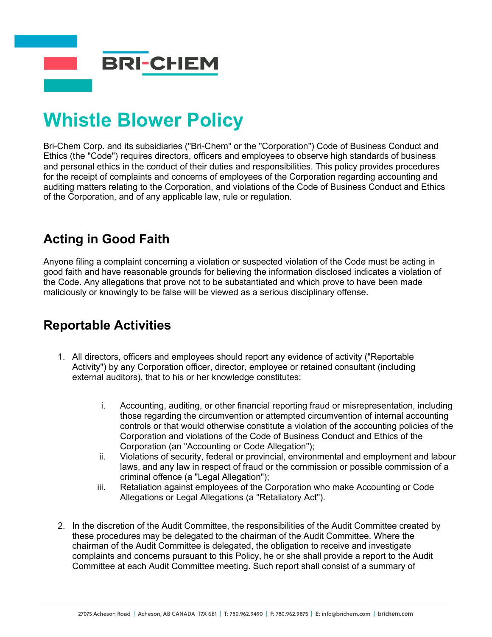

# **Whistle Blower Policy**

Bri-Chem Corp. and its subsidiaries ("Bri-Chem" or the "Corporation") Code of Business Conduct and Ethics (the "Code") requires directors, officers and employees to observe high standards of business and personal ethics in the conduct of their duties and responsibilities. This policy provides procedures for the receipt of complaints and concerns of employees of the Corporation regarding accounting and auditing matters relating to the Corporation, and violations of the Code of Business Conduct and Ethics of the Corporation, and of any applicable law, rule or regulation.

# **Acting in Good Faith**

Anyone filing a complaint concerning a violation or suspected violation of the Code must be acting in good faith and have reasonable grounds for believing the information disclosed indicates a violation of the Code. Any allegations that prove not to be substantiated and which prove to have been made maliciously or knowingly to be false will be viewed as a serious disciplinary offense.

## **Reportable Activities**

- 1. All directors, officers and employees should report any evidence of activity ("Reportable Activity") by any Corporation officer, director, employee or retained consultant (including external auditors), that to his or her knowledge constitutes:
	- i. Accounting, auditing, or other financial reporting fraud or misrepresentation, including those regarding the circumvention or attempted circumvention of internal accounting controls or that would otherwise constitute a violation of the accounting policies of the Corporation and violations of the Code of Business Conduct and Ethics of the Corporation (an "Accounting or Code Allegation");
	- ii. Violations of security, federal or provincial, environmental and employment and labour laws, and any law in respect of fraud or the commission or possible commission of a criminal offence (a "Legal Allegation");
	- iii. Retaliation against employees of the Corporation who make Accounting or Code Allegations or Legal Allegations (a "Retaliatory Act").
- 2. In the discretion of the Audit Committee, the responsibilities of the Audit Committee created by these procedures may be delegated to the chairman of the Audit Committee. Where the chairman of the Audit Committee is delegated, the obligation to receive and investigate complaints and concerns pursuant to this Policy, he or she shall provide a report to the Audit Committee at each Audit Committee meeting. Such report shall consist of a summary of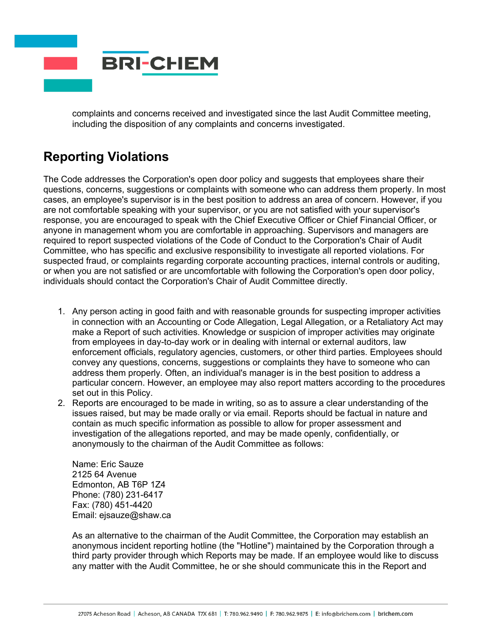

complaints and concerns received and investigated since the last Audit Committee meeting, including the disposition of any complaints and concerns investigated.

# **Reporting Violations**

The Code addresses the Corporation's open door policy and suggests that employees share their questions, concerns, suggestions or complaints with someone who can address them properly. In most cases, an employee's supervisor is in the best position to address an area of concern. However, if you are not comfortable speaking with your supervisor, or you are not satisfied with your supervisor's response, you are encouraged to speak with the Chief Executive Officer or Chief Financial Officer, or anyone in management whom you are comfortable in approaching. Supervisors and managers are required to report suspected violations of the Code of Conduct to the Corporation's Chair of Audit Committee, who has specific and exclusive responsibility to investigate all reported violations. For suspected fraud, or complaints regarding corporate accounting practices, internal controls or auditing, or when you are not satisfied or are uncomfortable with following the Corporation's open door policy, individuals should contact the Corporation's Chair of Audit Committee directly.

- 1. Any person acting in good faith and with reasonable grounds for suspecting improper activities in connection with an Accounting or Code Allegation, Legal Allegation, or a Retaliatory Act may make a Report of such activities. Knowledge or suspicion of improper activities may originate from employees in day-to-day work or in dealing with internal or external auditors, law enforcement officials, regulatory agencies, customers, or other third parties. Employees should convey any questions, concerns, suggestions or complaints they have to someone who can address them properly. Often, an individual's manager is in the best position to address a particular concern. However, an employee may also report matters according to the procedures set out in this Policy.
- 2. Reports are encouraged to be made in writing, so as to assure a clear understanding of the issues raised, but may be made orally or via email. Reports should be factual in nature and contain as much specific information as possible to allow for proper assessment and investigation of the allegations reported, and may be made openly, confidentially, or anonymously to the chairman of the Audit Committee as follows:

Name: Eric Sauze 2125 64 Avenue Edmonton, AB T6P 1Z4 Phone: (780) 231-6417 Fax: (780) 451-4420 Email: ejsauze@shaw.ca

As an alternative to the chairman of the Audit Committee, the Corporation may establish an anonymous incident reporting hotline (the "Hotline") maintained by the Corporation through a third party provider through which Reports may be made. If an employee would like to discuss any matter with the Audit Committee, he or she should communicate this in the Report and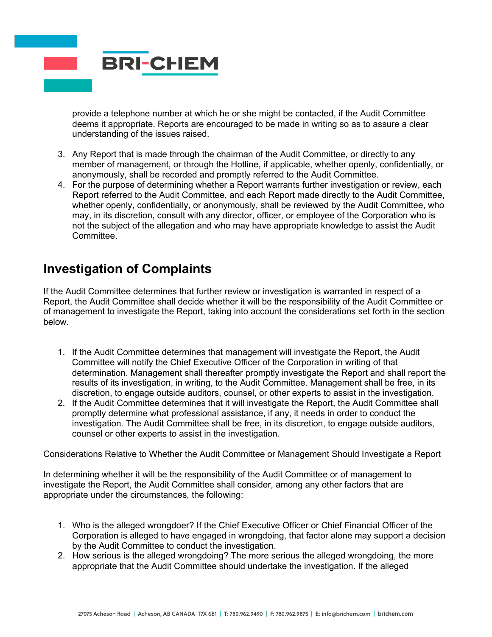

provide a telephone number at which he or she might be contacted, if the Audit Committee deems it appropriate. Reports are encouraged to be made in writing so as to assure a clear understanding of the issues raised.

- 3. Any Report that is made through the chairman of the Audit Committee, or directly to any member of management, or through the Hotline, if applicable, whether openly, confidentially, or anonymously, shall be recorded and promptly referred to the Audit Committee.
- 4. For the purpose of determining whether a Report warrants further investigation or review, each Report referred to the Audit Committee, and each Report made directly to the Audit Committee, whether openly, confidentially, or anonymously, shall be reviewed by the Audit Committee, who may, in its discretion, consult with any director, officer, or employee of the Corporation who is not the subject of the allegation and who may have appropriate knowledge to assist the Audit Committee.

#### **Investigation of Complaints**

If the Audit Committee determines that further review or investigation is warranted in respect of a Report, the Audit Committee shall decide whether it will be the responsibility of the Audit Committee or of management to investigate the Report, taking into account the considerations set forth in the section below.

- 1. If the Audit Committee determines that management will investigate the Report, the Audit Committee will notify the Chief Executive Officer of the Corporation in writing of that determination. Management shall thereafter promptly investigate the Report and shall report the results of its investigation, in writing, to the Audit Committee. Management shall be free, in its discretion, to engage outside auditors, counsel, or other experts to assist in the investigation.
- 2. If the Audit Committee determines that it will investigate the Report, the Audit Committee shall promptly determine what professional assistance, if any, it needs in order to conduct the investigation. The Audit Committee shall be free, in its discretion, to engage outside auditors, counsel or other experts to assist in the investigation.

Considerations Relative to Whether the Audit Committee or Management Should Investigate a Report

In determining whether it will be the responsibility of the Audit Committee or of management to investigate the Report, the Audit Committee shall consider, among any other factors that are appropriate under the circumstances, the following:

- 1. Who is the alleged wrongdoer? If the Chief Executive Officer or Chief Financial Officer of the Corporation is alleged to have engaged in wrongdoing, that factor alone may support a decision by the Audit Committee to conduct the investigation.
- 2. How serious is the alleged wrongdoing? The more serious the alleged wrongdoing, the more appropriate that the Audit Committee should undertake the investigation. If the alleged